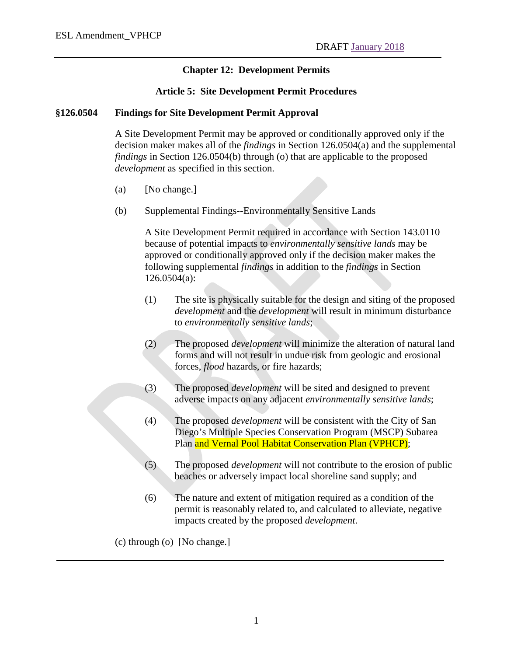# **Chapter 12: Development Permits**

### **Article 5: Site Development Permit Procedures**

### **§126.0504 Findings for Site Development Permit Approval**

A Site Development Permit may be approved or conditionally approved only if the decision maker makes all of the *findings* in Section 126.0504(a) and the supplemental *findings* in Section 126.0504(b) through (o) that are applicable to the proposed *development* as specified in this section.

- (a) [No change.]
- (b) Supplemental Findings--Environmentally Sensitive Lands

A Site Development Permit required in accordance with Section 143.0110 because of potential impacts to *environmentally sensitive lands* may be approved or conditionally approved only if the decision maker makes the following supplemental *findings* in addition to the *findings* in Section 126.0504(a):

- (1) The site is physically suitable for the design and siting of the proposed *development* and the *development* will result in minimum disturbance to *environmentally sensitive lands*;
- (2) The proposed *development* will minimize the alteration of natural land forms and will not result in undue risk from geologic and erosional forces, *flood* hazards, or fire hazards;
- (3) The proposed *development* will be sited and designed to prevent adverse impacts on any adjacent *environmentally sensitive lands*;
- (4) The proposed *development* will be consistent with the City of San Diego's Multiple Species Conservation Program (MSCP) Subarea Plan and Vernal Pool Habitat Conservation Plan (VPHCP);
- (5) The proposed *development* will not contribute to the erosion of public beaches or adversely impact local shoreline sand supply; and
- (6) The nature and extent of mitigation required as a condition of the permit is reasonably related to, and calculated to alleviate, negative impacts created by the proposed *development*.
- (c) through (o) [No change.]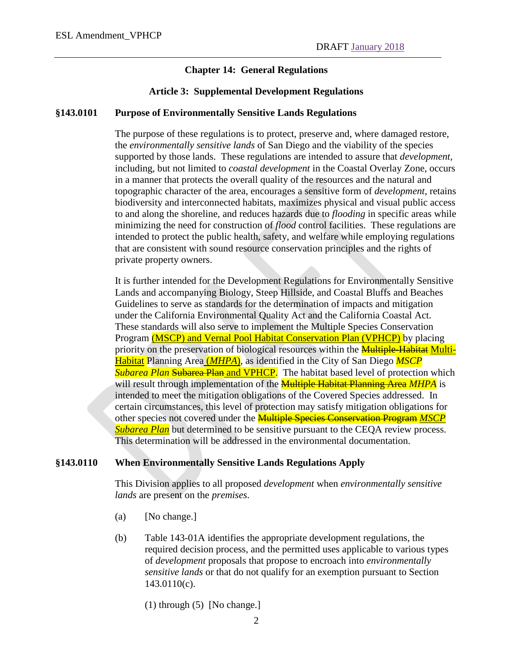# **Chapter 14: General Regulations**

### **Article 3: Supplemental Development Regulations**

### **§143.0101 Purpose of Environmentally Sensitive Lands Regulations**

The purpose of these regulations is to protect, preserve and, where damaged restore, the *environmentally sensitive lands* of San Diego and the viability of the species supported by those lands. These regulations are intended to assure that *development,*  including, but not limited to *coastal development* in the Coastal Overlay Zone, occurs in a manner that protects the overall quality of the resources and the natural and topographic character of the area, encourages a sensitive form of *development*, retains biodiversity and interconnected habitats, maximizes physical and visual public access to and along the shoreline, and reduces hazards due to *flooding* in specific areas while minimizing the need for construction of *flood* control facilities. These regulations are intended to protect the public health, safety, and welfare while employing regulations that are consistent with sound resource conservation principles and the rights of private property owners.

It is further intended for the Development Regulations for Environmentally Sensitive Lands and accompanying Biology, Steep Hillside, and Coastal Bluffs and Beaches Guidelines to serve as standards for the determination of impacts and mitigation under the California Environmental Quality Act and the California Coastal Act. These standards will also serve to implement the Multiple Species Conservation Program (MSCP) and Vernal Pool Habitat Conservation Plan (VPHCP) by placing priority on the preservation of biological resources within the **Multiple-Habitat Multi-**Habitat Planning Area (*MHPA*), as identified in the City of San Diego *MSCP*  **Subarea Plan Subarea Plan and VPHCP.** The habitat based level of protection which will result through implementation of the **Multiple Habitat Planning Area** *MHPA* is intended to meet the mitigation obligations of the Covered Species addressed. In certain circumstances, this level of protection may satisfy mitigation obligations for other species not covered under the Multiple Species Conservation Program *MSCP*  **Subarea Plan** but determined to be sensitive pursuant to the CEQA review process. This determination will be addressed in the environmental documentation.

### **§143.0110 When Environmentally Sensitive Lands Regulations Apply**

This Division applies to all proposed *development* when *environmentally sensitive lands* are present on the *premises*.

- (a) [No change.]
- (b) Table 143-01A identifies the appropriate development regulations, the required decision process, and the permitted uses applicable to various types of *development* proposals that propose to encroach into *environmentally sensitive lands* or that do not qualify for an exemption pursuant to Section 143.0110(c).

(1) through (5) [No change.]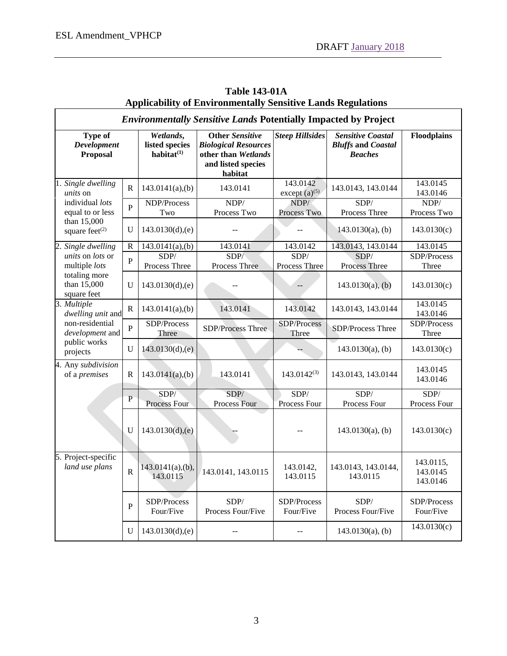| Applicability of Environmentally Sensitive Lands Regulations                                                     |                       |                                              |                                                                                                               |                                |                                                                         |                                   |  |  |  |
|------------------------------------------------------------------------------------------------------------------|-----------------------|----------------------------------------------|---------------------------------------------------------------------------------------------------------------|--------------------------------|-------------------------------------------------------------------------|-----------------------------------|--|--|--|
| <b>Environmentally Sensitive Lands Potentially Impacted by Project</b>                                           |                       |                                              |                                                                                                               |                                |                                                                         |                                   |  |  |  |
| <b>Type of</b><br>Development<br>Proposal                                                                        |                       | Wetlands,<br>listed species<br>habitat $(1)$ | <b>Other Sensitive</b><br><b>Biological Resources</b><br>other than Wetlands<br>and listed species<br>habitat | <b>Steep Hillsides</b>         | <b>Sensitive Coastal</b><br><b>Bluffs and Coastal</b><br><b>Beaches</b> | Floodplains                       |  |  |  |
| 1. Single dwelling<br><i>units</i> on<br>individual lots<br>equal to or less<br>than 15,000<br>square feet $(2)$ | $\mathbf R$           | $143.0141(a)$ , (b)                          | 143.0141                                                                                                      | 143.0142<br>except $(a)^{(5)}$ | 143.0143, 143.0144                                                      | 143.0145<br>143.0146              |  |  |  |
|                                                                                                                  | $\overline{P}$        | NDP/Process<br>Two                           | NDP/<br>Process Two                                                                                           | NDP/<br>Process Two            | SDP/<br>Process Three                                                   | NDP/<br>Process Two               |  |  |  |
|                                                                                                                  | U                     | 143.0130(d),(e)                              |                                                                                                               |                                | $143.0130(a)$ , (b)                                                     | 143.0130(c)                       |  |  |  |
| Single dwelling<br>2.                                                                                            | ${\bf R}$             | 143.0141(a), (b)                             | 143.0141                                                                                                      | 143.0142                       | 143.0143, 143.0144                                                      | 143.0145                          |  |  |  |
| units on lots or<br>multiple lots<br>totaling more<br>than 15,000<br>square feet                                 | $\overline{P}$        | SDP/<br>Process Three                        | SDP/<br>Process Three                                                                                         | SDP/<br>Process Three          | SDP/<br>Process Three                                                   | SDP/Process<br>Three              |  |  |  |
|                                                                                                                  | U                     | 143.0130(d),(e)                              |                                                                                                               |                                | $143.0130(a)$ , (b)                                                     | 143.0130(c)                       |  |  |  |
| 3. Multiple<br>dwelling unit and<br>non-residential<br>development and<br>public works<br>projects               | $\mathbf R$           | $143.0141(a)$ , (b)                          | 143.0141                                                                                                      | 143.0142                       | 143.0143, 143.0144                                                      | 143.0145<br>143.0146              |  |  |  |
|                                                                                                                  | $\overline{P}$        | SDP/Process<br>Three                         | SDP/Process Three                                                                                             | SDP/Process<br>Three           | SDP/Process Three                                                       | SDP/Process<br>Three              |  |  |  |
|                                                                                                                  | $\mathbf U$           | 143.0130(d), (e)                             |                                                                                                               |                                | $143.0130(a)$ , (b)                                                     | 143.0130(c)                       |  |  |  |
| 4. Any subdivision<br>of a <i>premises</i>                                                                       | R                     | $143.0141(a)$ , (b)                          | 143.0141                                                                                                      | $143.0142^{(3)}$               | 143.0143, 143.0144                                                      | 143.0145<br>143.0146              |  |  |  |
|                                                                                                                  | $\overline{P}$        | SDP/<br>Process Four                         | SDP/<br>Process Four                                                                                          | SDP/<br>Process Four           | SDP/<br>Process Four                                                    | SDP/<br>Process Four              |  |  |  |
|                                                                                                                  | $\mathbf U$           | 143.0130(d),(e)                              |                                                                                                               |                                | $143.0130(a)$ , (b)                                                     | 143.0130(c)                       |  |  |  |
| 5. Project-specific<br>land use plans                                                                            | $\overline{\text{R}}$ | 143.0115                                     | 143.0141(a),(b), 143.0141, 143.0115                                                                           | 143.0142,<br>143.0115          | 143.0143, 143.0144,<br>143.0115                                         | 143.0115,<br>143.0145<br>143.0146 |  |  |  |
|                                                                                                                  | P                     | SDP/Process<br>Four/Five                     | SDP/<br>Process Four/Five                                                                                     | SDP/Process<br>Four/Five       | SDP/<br>Process Four/Five                                               | SDP/Process<br>Four/Five          |  |  |  |
|                                                                                                                  | U                     | 143.0130(d),(e)                              |                                                                                                               |                                | $143.0130(a)$ , (b)                                                     | 143.0130(c)                       |  |  |  |

# **Table 143-01A Applicability of Environmentally Sensitive Lands Degulation**<br>Applicability of Environmentally Sensitive Lands Degulations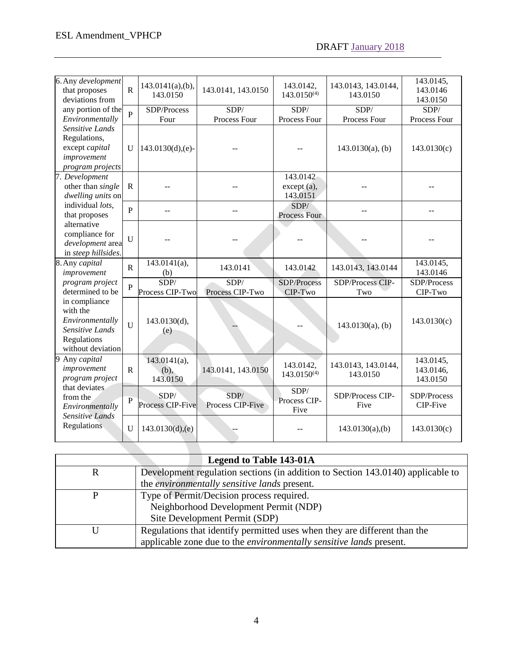| 6. Any development<br>that proposes<br>deviations from<br>any portion of the<br>Environmentally<br>Sensitive Lands<br>Regulations,<br>except capital<br>improvement<br>program projects | ${\bf R}$      | $143.0141(a)$ , (b),<br>143.0150    | 143.0141, 143.0150       | 143.0142,<br>$143.0150^{(4)}$       | 143.0143, 143.0144,<br>143.0150 | 143.0145,<br>143.0146<br>143.0150  |
|-----------------------------------------------------------------------------------------------------------------------------------------------------------------------------------------|----------------|-------------------------------------|--------------------------|-------------------------------------|---------------------------------|------------------------------------|
|                                                                                                                                                                                         | $\overline{P}$ | SDP/Process<br>Four                 | SDP/<br>Process Four     | SDP/<br>Process Four                | SDP/<br>Process Four            | SDP/<br>Process Four               |
|                                                                                                                                                                                         | U              | $143.0130(d),(e)-$                  |                          |                                     | $143.0130(a)$ , (b)             | 143.0130(c)                        |
| 7. Development<br>other than single<br>dwelling units on<br>individual lots,<br>that proposes<br>alternative<br>compliance for<br>development area<br>in steep hillsides.               | ${\bf R}$      |                                     |                          | 143.0142<br>except (a),<br>143.0151 |                                 |                                    |
|                                                                                                                                                                                         | $\overline{P}$ |                                     |                          | SDP/<br>Process Four                |                                 |                                    |
|                                                                                                                                                                                         | U              |                                     |                          |                                     | $-$                             |                                    |
| 8. Any capital<br>improvement<br>program project<br>determined to be<br>in compliance<br>with the<br>Environmentally<br>Sensitive Lands<br>Regulations<br>without deviation             | $\, {\bf R}$   | $143.0141(a)$ ,<br>(b)              | 143.0141                 | 143.0142                            | 143.0143, 143.0144              | 143.0145,<br>143.0146              |
|                                                                                                                                                                                         | $\overline{P}$ | SDP/<br>Process CIP-Two             | SDP/<br>Process CIP-Two  | SDP/Process<br>CIP-Two              | SDP/Process CIP-<br>Two         | SDP/Process<br>CIP-Two             |
|                                                                                                                                                                                         | $\overline{U}$ | 143.0130(d),<br>(e)                 |                          |                                     | $143.0130(a)$ , (b)             | 143.0130(c)                        |
| 9 Any capital<br>improvement<br>program project<br>that deviates<br>from the<br>Environmentally<br><b>Sensitive Lands</b><br>Regulations                                                | ${\bf R}$      | $143.0141(a)$ ,<br>(b),<br>143.0150 | 143.0141, 143.0150       | 143.0142,<br>$143.0150^{(4)}$       | 143.0143, 143.0144,<br>143.0150 | 143.0145,<br>143.0146,<br>143.0150 |
|                                                                                                                                                                                         | $\overline{P}$ | SDP/<br>Process CIP-Five            | SDP/<br>Process CIP-Five | SDP/<br>Process CIP-<br>Five        | SDP/Process CIP-<br>Five        | SDP/Process<br>CIP-Five            |
|                                                                                                                                                                                         |                |                                     |                          |                                     |                                 |                                    |

| <b>Legend to Table 143-01A</b> |                                                                                 |  |  |  |
|--------------------------------|---------------------------------------------------------------------------------|--|--|--|
|                                | Development regulation sections (in addition to Section 143.0140) applicable to |  |  |  |
|                                | the environmentally sensitive lands present.                                    |  |  |  |
|                                | Type of Permit/Decision process required.                                       |  |  |  |
|                                | Neighborhood Development Permit (NDP)                                           |  |  |  |
|                                | Site Development Permit (SDP)                                                   |  |  |  |
|                                | Regulations that identify permitted uses when they are different than the       |  |  |  |
|                                | applicable zone due to the environmentally sensitive lands present.             |  |  |  |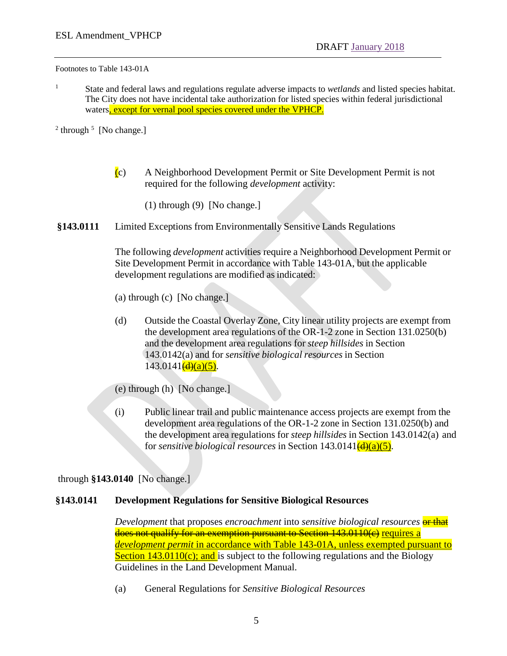Footnotes to Table 143-01A

<sup>1</sup> State and federal laws and regulations regulate adverse impacts to *wetlands* and listed species habitat. The City does not have incidental take authorization for listed species within federal jurisdictional waters, except for vernal pool species covered under the VPHCP.

 $2$  through  $5$  [No change.]

- $(c)$  A Neighborhood Development Permit or Site Development Permit is not required for the following *development* activity:
	- (1) through (9) [No change.]

### **§143.0111** Limited Exceptions from Environmentally Sensitive Lands Regulations

The following *development* activities require a Neighborhood Development Permit or Site Development Permit in accordance with Table 143-01A, but the applicable development regulations are modified as indicated:

- (a) through (c) [No change.]
- (d) Outside the Coastal Overlay Zone, City linear utility projects are exempt from the development area regulations of the OR-1-2 zone in Section 131.0250(b) and the development area regulations for *steep hillsides* in Section 143.0142(a) and for *sensitive biological resources* in Section  $143.0141\frac{d}{d}(a)(5)$ .
- (e) through (h) [No change.]
- (i) Public linear trail and public maintenance access projects are exempt from the development area regulations of the OR-1-2 zone in Section 131.0250(b) and the development area regulations for *steep hillsides* in Section 143.0142(a) and for *sensitive biological resources* in Section  $143.0141\frac{d}{d}(a)(5)$ .

through **§143.0140** [No change.]

### **§143.0141 Development Regulations for Sensitive Biological Resources**

*Development* that proposes *encroachment* into *sensitive biological resources* or that does not qualify for an exemption pursuant to Section 143.0110(c) requires a *development permit* in accordance with Table 143-01A, unless exempted pursuant to Section  $143.0110(c)$ ; and is subject to the following regulations and the Biology Guidelines in the Land Development Manual.

(a) General Regulations for *Sensitive Biological Resources*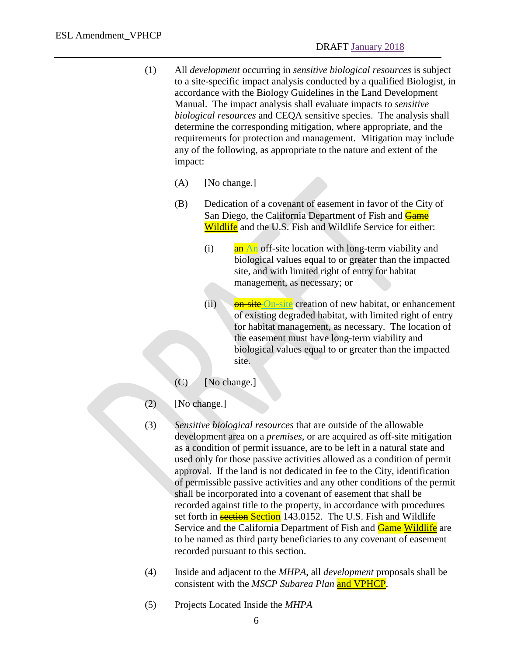- (1) All *development* occurring in *sensitive biological resources* is subject to a site-specific impact analysis conducted by a qualified Biologist, in accordance with the Biology Guidelines in the Land Development Manual. The impact analysis shall evaluate impacts to *sensitive biological resources* and CEQA sensitive species. The analysis shall determine the corresponding mitigation, where appropriate, and the requirements for protection and management. Mitigation may include any of the following, as appropriate to the nature and extent of the impact:
	- (A) [No change.]
	- (B) Dedication of a covenant of easement in favor of the City of San Diego, the California Department of Fish and Game Wildlife and the U.S. Fish and Wildlife Service for either:
		- (i)  $\frac{a_n}{a_n}$  An off-site location with long-term viability and biological values equal to or greater than the impacted site, and with limited right of entry for habitat management, as necessary; or
		- (ii) **on-site On-site** creation of new habitat, or enhancement of existing degraded habitat, with limited right of entry for habitat management, as necessary. The location of the easement must have long-term viability and biological values equal to or greater than the impacted site.
	- (C) [No change.]
- (2) [No change.]
- (3) *Sensitive biological resources* that are outside of the allowable development area on a *premises*, or are acquired as off-site mitigation as a condition of permit issuance, are to be left in a natural state and used only for those passive activities allowed as a condition of permit approval. If the land is not dedicated in fee to the City, identification of permissible passive activities and any other conditions of the permit shall be incorporated into a covenant of easement that shall be recorded against title to the property, in accordance with procedures set forth in **section** Section 143.0152. The U.S. Fish and Wildlife Service and the California Department of Fish and **Game Wildlife** are to be named as third party beneficiaries to any covenant of easement recorded pursuant to this section.
- (4) Inside and adjacent to the *MHPA*, all *development* proposals shall be consistent with the *MSCP Subarea Plan* and VPHCP.
- (5) Projects Located Inside the *MHPA*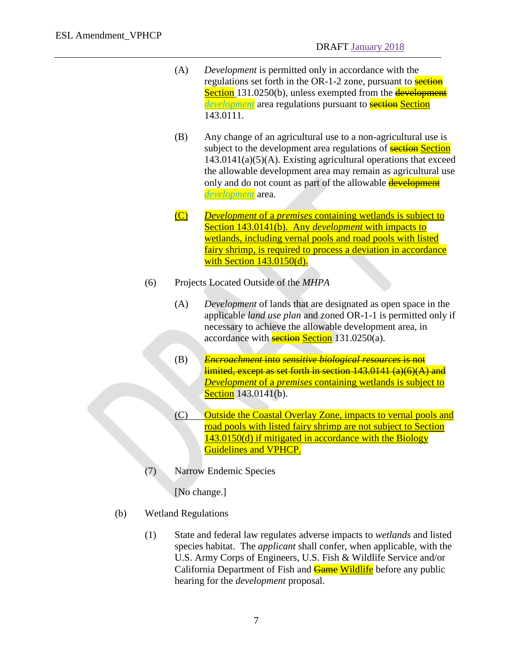- (A) *Development* is permitted only in accordance with the regulations set forth in the OR-1-2 zone, pursuant to **section** Section 131.0250(b), unless exempted from the **development** *development* area regulations pursuant to **section** Section 143.0111.
- (B) Any change of an agricultural use to a non-agricultural use is subject to the development area regulations of **section** Section  $143.0141(a)(5)(A)$ . Existing agricultural operations that exceed the allowable development area may remain as agricultural use only and do not count as part of the allowable **development** *development* area.
- (C) *Development* of a *premises* containing wetlands is subject to Section 143.0141(b). Any *development* with impacts to wetlands, including vernal pools and road pools with listed fairy shrimp, is required to process a deviation in accordance with Section 143.0150(d).
- (6) Projects Located Outside of the *MHPA*
	- (A) *Development* of lands that are designated as open space in the applicable *land use plan* and zoned OR-1-1 is permitted only if necessary to achieve the allowable development area, in accordance with **section Section** 131.0250(a).
	- (B) *Encroachment* into *sensitive biological resources* is not limited, except as set forth in section 143.0141 (a)(6)(A) and *Development* of a *premises* containing wetlands is subject to Section 143.0141(b).
	- (C) Outside the Coastal Overlay Zone, impacts to vernal pools and road pools with listed fairy shrimp are not subject to Section 143.0150(d) if mitigated in accordance with the Biology Guidelines and VPHCP.
- (7) Narrow Endemic Species

[No change.]

- (b) Wetland Regulations
	- (1) State and federal law regulates adverse impacts to *wetlands* and listed species habitat. The *applicant* shall confer, when applicable, with the U.S. Army Corps of Engineers, U.S. Fish & Wildlife Service and/or California Department of Fish and **Game Wildlife** before any public hearing for the *development* proposal.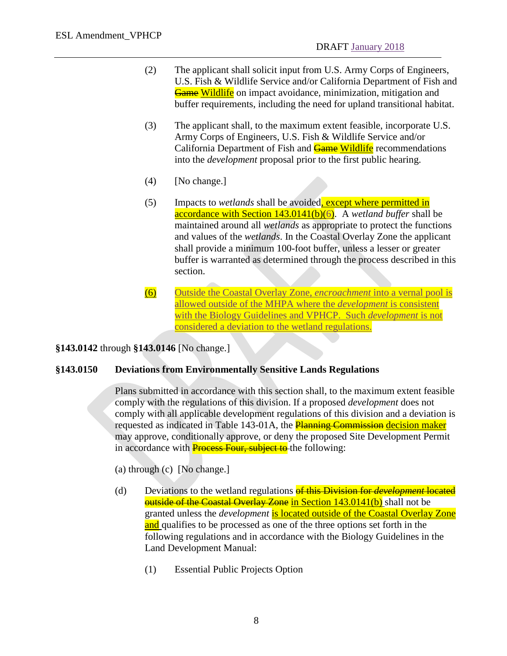- (2) The applicant shall solicit input from U.S. Army Corps of Engineers, U.S. Fish & Wildlife Service and/or California Department of Fish and Game Wildlife on impact avoidance, minimization, mitigation and buffer requirements, including the need for upland transitional habitat.
- (3) The applicant shall, to the maximum extent feasible, incorporate U.S. Army Corps of Engineers, U.S. Fish & Wildlife Service and/or California Department of Fish and **Game Wildlife** recommendations into the *development* proposal prior to the first public hearing.
- (4) [No change.]
- (5) Impacts to *wetlands* shall be avoided, except where permitted in accordance with Section 143.0141(b)(6). A *wetland buffer* shall be maintained around all *wetlands* as appropriate to protect the functions and values of the *wetlands*. In the Coastal Overlay Zone the applicant shall provide a minimum 100-foot buffer, unless a lesser or greater buffer is warranted as determined through the process described in this section.
- (6) Outside the Coastal Overlay Zone, *encroachment* into a vernal pool is allowed outside of the MHPA where the *development* is consistent with the Biology Guidelines and VPHCP. Such *development* is not considered a deviation to the wetland regulations.

**§143.0142** through **§143.0146** [No change.]

### **§143.0150 Deviations from Environmentally Sensitive Lands Regulations**

Plans submitted in accordance with this section shall, to the maximum extent feasible comply with the regulations of this division. If a proposed *development* does not comply with all applicable development regulations of this division and a deviation is requested as indicated in Table 143-01A, the **Planning Commission decision maker** may approve, conditionally approve, or deny the proposed Site Development Permit in accordance with **Process Four, subject to** the following:

(a) through (c) [No change.]

- (d) Deviations to the wetland regulations of this Division for *development* located **outside of the Coastal Overlay Zone in Section 143.0141(b)** shall not be granted unless the *development* is located outside of the Coastal Overlay Zone and qualifies to be processed as one of the three options set forth in the following regulations and in accordance with the Biology Guidelines in the Land Development Manual:
	- (1) Essential Public Projects Option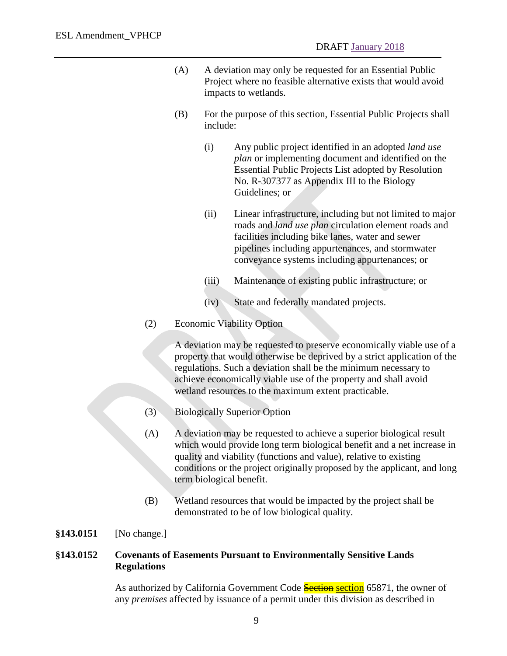- (A) A deviation may only be requested for an Essential Public Project where no feasible alternative exists that would avoid impacts to wetlands.
- (B) For the purpose of this section, Essential Public Projects shall include:
	- (i) Any public project identified in an adopted *land use plan* or implementing document and identified on the Essential Public Projects List adopted by Resolution No. R-307377 as Appendix III to the Biology Guidelines; or
	- (ii) Linear infrastructure, including but not limited to major roads and *land use plan* circulation element roads and facilities including bike lanes, water and sewer pipelines including appurtenances, and stormwater conveyance systems including appurtenances; or
	- (iii) Maintenance of existing public infrastructure; or
	- (iv) State and federally mandated projects.
- (2) Economic Viability Option

A deviation may be requested to preserve economically viable use of a property that would otherwise be deprived by a strict application of the regulations. Such a deviation shall be the minimum necessary to achieve economically viable use of the property and shall avoid wetland resources to the maximum extent practicable.

- (3) Biologically Superior Option
- (A) A deviation may be requested to achieve a superior biological result which would provide long term biological benefit and a net increase in quality and viability (functions and value), relative to existing conditions or the project originally proposed by the applicant, and long term biological benefit.
- (B) Wetland resources that would be impacted by the project shall be demonstrated to be of low biological quality.

**§143.0151** [No change.]

### **§143.0152 Covenants of Easements Pursuant to Environmentally Sensitive Lands Regulations**

As authorized by California Government Code **Section section** 65871, the owner of any *premises* affected by issuance of a permit under this division as described in